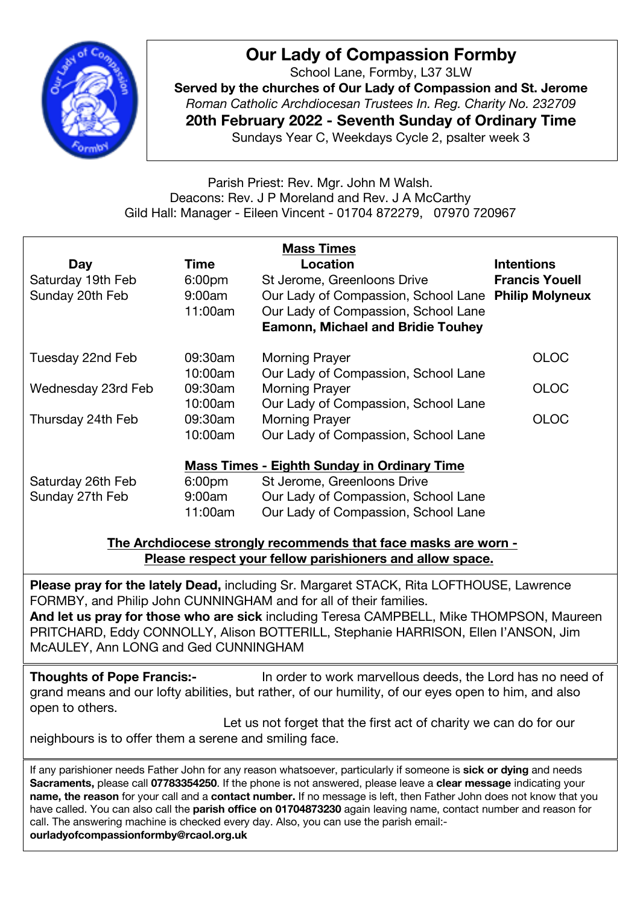

## **Our Lady of Compassion Formby**

School Lane, Formby, L37 3LW **Served by the churches of Our Lady of Compassion and St. Jerome** *Roman Catholic Archdiocesan Trustees In. Reg. Charity No. 232709* **20th February 2022 - Seventh Sunday of Ordinary Time** Sundays Year C, Weekdays Cycle 2, psalter week 3

Parish Priest: Rev. Mgr. John M Walsh. Deacons: Rev. J P Moreland and Rev. J A McCarthy Gild Hall: Manager - Eileen Vincent - 01704 872279, 07970 720967

| <b>Mass Times</b>                                  |                    |                                                     |                       |
|----------------------------------------------------|--------------------|-----------------------------------------------------|-----------------------|
| Day                                                | Time               | Location                                            | <b>Intentions</b>     |
| Saturday 19th Feb                                  | 6:00 <sub>pm</sub> | St Jerome, Greenloons Drive                         | <b>Francis Youell</b> |
| Sunday 20th Feb                                    | 9:00am             | Our Lady of Compassion, School Lane Philip Molyneux |                       |
|                                                    | 11:00am            | Our Lady of Compassion, School Lane                 |                       |
|                                                    |                    | <b>Eamonn, Michael and Bridie Touhey</b>            |                       |
| Tuesday 22nd Feb                                   | 09:30am            | <b>Morning Prayer</b>                               | <b>OLOC</b>           |
|                                                    | 10:00am            | Our Lady of Compassion, School Lane                 |                       |
| Wednesday 23rd Feb                                 | 09:30am            | <b>Morning Prayer</b>                               | <b>OLOC</b>           |
|                                                    | 10:00am            | Our Lady of Compassion, School Lane                 |                       |
| Thursday 24th Feb                                  | 09:30am            | <b>Morning Prayer</b>                               | <b>OLOC</b>           |
|                                                    | 10:00am            | Our Lady of Compassion, School Lane                 |                       |
| <b>Mass Times - Eighth Sunday in Ordinary Time</b> |                    |                                                     |                       |
| Saturday 26th Feb                                  | 6:00 <sub>pm</sub> | St Jerome, Greenloons Drive                         |                       |
| Sunday 27th Feb                                    | 9:00am             | Our Lady of Compassion, School Lane                 |                       |
|                                                    | 11:00am            | Our Lady of Compassion, School Lane                 |                       |
|                                                    |                    |                                                     |                       |

**The Archdiocese strongly recommends that face masks are worn - Please respect your fellow parishioners and allow space.**

**Please pray for the lately Dead,** including Sr. Margaret STACK, Rita LOFTHOUSE, Lawrence FORMBY, and Philip John CUNNINGHAM and for all of their families. **And let us pray for those who are sick** including Teresa CAMPBELL, Mike THOMPSON, Maureen PRITCHARD, Eddy CONNOLLY, Alison BOTTERILL, Stephanie HARRISON, Ellen I'ANSON, Jim

McAULEY, Ann LONG and Ged CUNNINGHAM

**Thoughts of Pope Francis:-** In order to work marvellous deeds, the Lord has no need of grand means and our lofty abilities, but rather, of our humility, of our eyes open to him, and also open to others.

Let us not forget that the first act of charity we can do for our neighbours is to offer them a serene and smiling face.

call. The answering machine is checked every day. Also, you can use the parish email:-If any parishioner needs Father John for any reason whatsoever, particularly if someone is **sick or dying** and needs **Sacraments,** please call **07783354250**. If the phone is not answered, please leave a **clear message** indicating your **name, the reason** for your call and a **contact number.** If no message is left, then Father John does not know that you have called. You can also call the **parish office on 01704873230** again leaving name, contact number and reason for **ourladyofcompassionformby@rcaol.org.uk**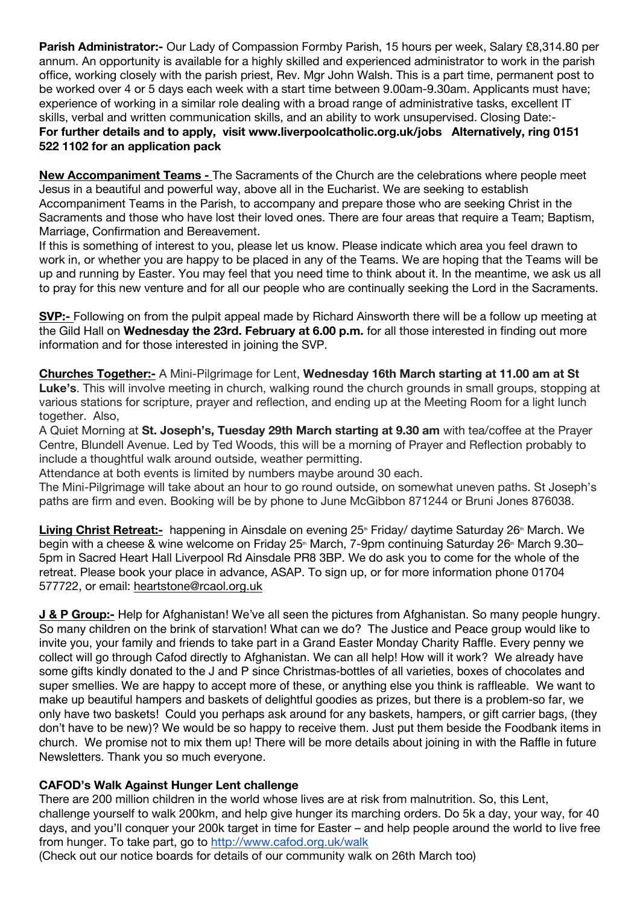**Parish Administrator:-** Our Lady of Compassion Formby Parish, 15 hours per week, Salary £8,314.80 per annum. An opportunity is available for a highly skilled and experienced administrator to work in the parish office, working closely with the parish priest, Rev. Mgr John Walsh. This is a part time, permanent post to be worked over 4 or 5 days each week with a start time between 9.00am-9.30am. Applicants must have; experience of working in a similar role dealing with a broad range of administrative tasks, excellent IT skills, verbal and written communication skills, and an ability to work unsupervised. Closing Date:- **For further details and to apply, visit www.liverpoolcatholic.org.uk/jobs Alternatively, ring 0151 522 1102 for an application pack**

**New Accompaniment Teams -** The Sacraments of the Church are the celebrations where people meet Jesus in a beautiful and powerful way, above all in the Eucharist. We are seeking to establish Accompaniment Teams in the Parish, to accompany and prepare those who are seeking Christ in the Sacraments and those who have lost their loved ones. There are four areas that require a Team; Baptism, Marriage, Confirmation and Bereavement.

If this is something of interest to you, please let us know. Please indicate which area you feel drawn to work in, or whether you are happy to be placed in any of the Teams. We are hoping that the Teams will be up and running by Easter. You may feel that you need time to think about it. In the meantime, we ask us all to pray for this new venture and for all our people who are continually seeking the Lord in the Sacraments.

**SVP:-** Following on from the pulpit appeal made by Richard Ainsworth there will be a follow up meeting at the Gild Hall on **Wednesday the 23rd. February at 6.00 p.m.** for all those interested in finding out more information and for those interested in joining the SVP.

**Churches Together:-** A Mini-Pilgrimage for Lent, **Wednesday 16th March starting at 11.00 am at St Luke's**. This will involve meeting in church, walking round the church grounds in small groups, stopping at various stations for scripture, prayer and reflection, and ending up at the Meeting Room for a light lunch together. Also,

A Quiet Morning at **St. Joseph's, Tuesday 29th March starting at 9.30 am** with tea/coffee at the Prayer Centre, Blundell Avenue. Led by Ted Woods, this will be a morning of Prayer and Reflection probably to include a thoughtful walk around outside, weather permitting.

Attendance at both events is limited by numbers maybe around 30 each.

The Mini-Pilgrimage will take about an hour to go round outside, on somewhat uneven paths. St Joseph's paths are firm and even. Booking will be by phone to June McGibbon 871244 or Bruni Jones 876038.

**Living Christ Retreat:-** happening in Ainsdale on evening 25<sup>th</sup> Friday/ daytime Saturday 26<sup>th</sup> March. We begin with a cheese & wine welcome on Friday 25<sup>th</sup> March, 7-9pm continuing Saturday 26<sup>th</sup> March 9.30– 5pm in Sacred Heart Hall Liverpool Rd Ainsdale PR8 3BP. We do ask you to come for the whole of the retreat. Please book your place in advance, ASAP. To sign up, or for more information phone 01704 577722, or email: heartstone@rcaol.org.uk

**J & P Group:-** Help for Afghanistan! We've all seen the pictures from Afghanistan. So many people hungry. So many children on the brink of starvation! What can we do? The Justice and Peace group would like to invite you, your family and friends to take part in a Grand Easter Monday Charity Raffle. Every penny we collect will go through Cafod directly to Afghanistan. We can all help! How will it work? We already have some gifts kindly donated to the J and P since Christmas-bottles of all varieties, boxes of chocolates and super smellies. We are happy to accept more of these, or anything else you think is raffleable. We want to make up beautiful hampers and baskets of delightful goodies as prizes, but there is a problem-so far, we only have two baskets! Could you perhaps ask around for any baskets, hampers, or gift carrier bags, (they don't have to be new)? We would be so happy to receive them. Just put them beside the Foodbank items in church. We promise not to mix them up! There will be more details about joining in with the Raffle in future Newsletters. Thank you so much everyone.

## **CAFOD's Walk Against Hunger Lent challenge**

There are 200 million children in the world whose lives are at risk from malnutrition. So, this Lent, challenge yourself to walk 200km, and help give hunger its marching orders. Do 5k a day, your way, for 40 days, and you'll conquer your 200k target in time for Easter – and help people around the world to live free from hunger. To take part, go to http://www.cafod.org.uk/walk

(Check out our notice boards for details of our community walk on 26th March too)